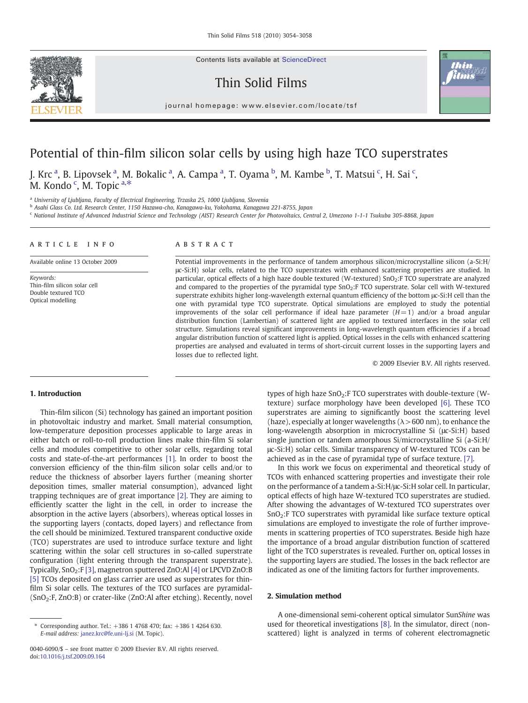Contents lists available at ScienceDirect

## Thin Solid Films



 $j$  or expression e  $r$  is even if  $r$  is evidence

# Potential of thin-film silicon solar cells by using high haze TCO superstrates

J. Krc <sup>a</sup>, B. Lipovsek <sup>a</sup>, M. Bokalic <sup>a</sup>, A. Campa <sup>a</sup>, T. Oyama <sup>b</sup>, M. Kambe <sup>b</sup>, T. Matsui <sup>c</sup>, H. Sai <sup>c</sup>, M. Kondo<sup>c</sup>, M. Topic<sup>a,\*</sup>

<sup>a</sup> University of Ljubljana, Faculty of Electrical Engineering, Trzaska 25, 1000 Ljubljana, Slovenia

<sup>b</sup> Asahi Glass Co. Ltd. Research Center, 1150 Hazawa-cho, Kanagawa-ku, Yokohama, Kanagawa 221-8755, Japan

<sup>c</sup> National Institute of Advanced Industrial Science and Technology (AIST) Research Center for Photovoltaics, Central 2, Umezono 1-1-1 Tsukuba 305-8868, Japan

#### article info abstract Available online 13 October 2009 Keywords: Thin-film silicon solar cell Double textured TCO Potential improvements in the performance of tandem amorphous silicon/microcrystalline silicon (a-Si:H/ μc-Si:H) solar cells, related to the TCO superstrates with enhanced scattering properties are studied. In particular, optical effects of a high haze double textured (W-textured) SnO<sub>2</sub>:F TCO superstrate are analyzed and compared to the properties of the pyramidal type SnO2:F TCO superstrate. Solar cell with W-textured

superstrate exhibits higher long-wavelength external quantum efficiency of the bottom μc-Si:H cell than the one with pyramidal type TCO superstrate. Optical simulations are employed to study the potential improvements of the solar cell performance if ideal haze parameter  $(H=1)$  and/or a broad angular distribution function (Lambertian) of scattered light are applied to textured interfaces in the solar cell structure. Simulations reveal significant improvements in long-wavelength quantum efficiencies if a broad angular distribution function of scattered light is applied. Optical losses in the cells with enhanced scattering properties are analysed and evaluated in terms of short-circuit current losses in the supporting layers and losses due to reflected light.

© 2009 Elsevier B.V. All rights reserved.

### 1. Introduction

Optical modelling

Thin-film silicon (Si) technology has gained an important position in photovoltaic industry and market. Small material consumption, low-temperature deposition processes applicable to large areas in either batch or roll-to-roll production lines make thin-film Si solar cells and modules competitive to other solar cells, regarding total costs and state-of-the-art performances [\[1\]](#page-4-0). In order to boost the conversion efficiency of the thin-film silicon solar cells and/or to reduce the thickness of absorber layers further (meaning shorter deposition times, smaller material consumption), advanced light trapping techniques are of great importance [\[2\]](#page-4-0). They are aiming to efficiently scatter the light in the cell, in order to increase the absorption in the active layers (absorbers), whereas optical losses in the supporting layers (contacts, doped layers) and reflectance from the cell should be minimized. Textured transparent conductive oxide (TCO) superstrates are used to introduce surface texture and light scattering within the solar cell structures in so-called superstrate configuration (light entering through the transparent superstrate). Typically, SnO<sub>2</sub>:F [\[3\]](#page-4-0), magnetron sputtered ZnO:Al [\[4\]](#page-4-0) or LPCVD ZnO:B [\[5\]](#page-4-0) TCOs deposited on glass carrier are used as superstrates for thinfilm Si solar cells. The textures of the TCO surfaces are pyramidal- (SnO2:F, ZnO:B) or crater-like (ZnO:Al after etching). Recently, novel

types of high haze  $SnO<sub>2</sub>: FICO superstrates with double-texture (W-<sub>2</sub>)$ texture) surface morphology have been developed [\[6\].](#page-4-0) These TCO superstrates are aiming to significantly boost the scattering level (haze), especially at longer wavelengths ( $\lambda$  > 600 nm), to enhance the long-wavelength absorption in microcrystalline Si (μc-Si:H) based single junction or tandem amorphous Si/microcrystalline Si (a-Si:H/ μc-Si:H) solar cells. Similar transparency of W-textured TCOs can be achieved as in the case of pyramidal type of surface texture. [\[7\].](#page-4-0)

In this work we focus on experimental and theoretical study of TCOs with enhanced scattering properties and investigate their role on the performance of a tandem a-Si:H/μc-Si:H solar cell. In particular, optical effects of high haze W-textured TCO superstrates are studied. After showing the advantages of W-textured TCO superstrates over  $SnO<sub>2</sub>$ :F TCO superstrates with pyramidal like surface texture optical simulations are employed to investigate the role of further improvements in scattering properties of TCO superstrates. Beside high haze the importance of a broad angular distribution function of scattered light of the TCO superstrates is revealed. Further on, optical losses in the supporting layers are studied. The losses in the back reflector are indicated as one of the limiting factors for further improvements.

#### 2. Simulation method

A one-dimensional semi-coherent optical simulator SunShine was used for theoretical investigations [\[8\].](#page-4-0) In the simulator, direct (nonscattered) light is analyzed in terms of coherent electromagnetic

<sup>⁎</sup> Corresponding author. Tel.: +386 1 4768 470; fax: +386 1 4264 630. E-mail address: [janez.krc@fe.uni-lj.si](mailto:janez.krc@fe.uni-lj.si) (M. Topic).

<sup>0040-6090/\$</sup> – see front matter © 2009 Elsevier B.V. All rights reserved. doi[:10.1016/j.tsf.2009.09.164](http://dx.doi.org/10.1016/j.tsf.2009.09.164)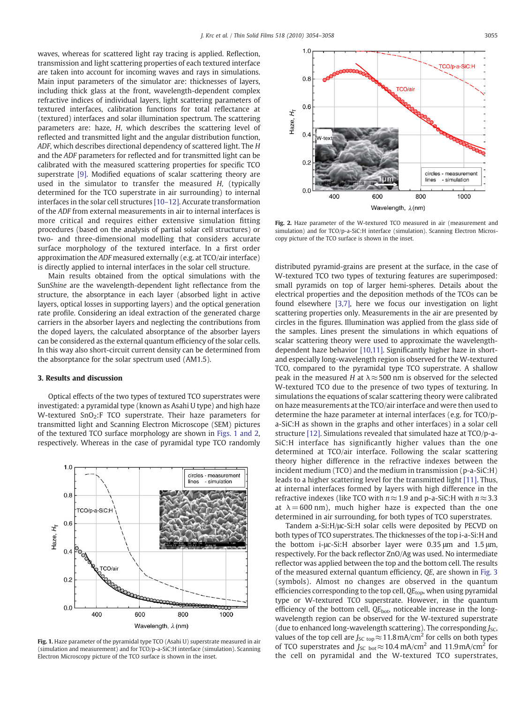waves, whereas for scattered light ray tracing is applied. Reflection, transmission and light scattering properties of each textured interface are taken into account for incoming waves and rays in simulations. Main input parameters of the simulator are: thicknesses of layers, including thick glass at the front, wavelength-dependent complex refractive indices of individual layers, light scattering parameters of textured interfaces, calibration functions for total reflectance at (textured) interfaces and solar illumination spectrum. The scattering parameters are: haze, H, which describes the scattering level of reflected and transmitted light and the angular distribution function, ADF, which describes directional dependency of scattered light. The H and the ADF parameters for reflected and for transmitted light can be calibrated with the measured scattering properties for specific TCO superstrate [\[9\].](#page-4-0) Modified equations of scalar scattering theory are used in the simulator to transfer the measured H, (typically determined for the TCO superstrate in air surrounding) to internal interfaces in the solar cell structures [10–[12\]](#page-4-0). Accurate transformation of the ADF from external measurements in air to internal interfaces is more critical and requires either extensive simulation fitting procedures (based on the analysis of partial solar cell structures) or two- and three-dimensional modelling that considers accurate surface morphology of the textured interface. In a first order approximation the ADF measured externally (e.g. at TCO/air interface) is directly applied to internal interfaces in the solar cell structure.

Main results obtained from the optical simulations with the SunShine are the wavelength-dependent light reflectance from the structure, the absorptance in each layer (absorbed light in active layers, optical losses in supporting layers) and the optical generation rate profile. Considering an ideal extraction of the generated charge carriers in the absorber layers and neglecting the contributions from the doped layers, the calculated absorptance of the absorber layers can be considered as the external quantum efficiency of the solar cells. In this way also short-circuit current density can be determined from the absorptance for the solar spectrum used (AM1.5).

#### 3. Results and discussion

Optical effects of the two types of textured TCO superstrates were investigated: a pyramidal type (known as Asahi U type) and high haze W-textured  $SnO<sub>2</sub>:$ F TCO superstrate. Their haze parameters for transmitted light and Scanning Electron Microscope (SEM) pictures of the textured TCO surface morphology are shown in Figs. 1 and 2, respectively. Whereas in the case of pyramidal type TCO randomly



Fig. 1. Haze parameter of the pyramidal type TCO (Asahi U) superstrate measured in air (simulation and measurement) and for TCO/p-a-SiC:H interface (simulation). Scanning Electron Microscopy picture of the TCO surface is shown in the inset.



Fig. 2. Haze parameter of the W-textured TCO measured in air (measurement and simulation) and for TCO/p-a-SiC:H interface (simulation). Scanning Electron Microscopy picture of the TCO surface is shown in the inset.

distributed pyramid-grains are present at the surface, in the case of W-textured TCO two types of texturing features are superimposed: small pyramids on top of larger hemi-spheres. Details about the electrical properties and the deposition methods of the TCOs can be found elsewhere [\[3,7\],](#page-4-0) here we focus our investigation on light scattering properties only. Measurements in the air are presented by circles in the figures. Illumination was applied from the glass side of the samples. Lines present the simulations in which equations of scalar scattering theory were used to approximate the wavelengthdependent haze behavior [\[10,11\].](#page-4-0) Significantly higher haze in shortand especially long-wavelength region is observed for the W-textured TCO, compared to the pyramidal type TCO superstrate. A shallow peak in the measured H at  $\lambda \approx 500$  nm is observed for the selected W-textured TCO due to the presence of two types of texturing. In simulations the equations of scalar scattering theory were calibrated on haze measurements at the TCO/air interface and were then used to determine the haze parameter at internal interfaces (e.g. for TCO/pa-SiC:H as shown in the graphs and other interfaces) in a solar cell structure [\[12\]](#page-4-0). Simulations revealed that simulated haze at TCO/p-a-SiC:H interface has significantly higher values than the one determined at TCO/air interface. Following the scalar scattering theory higher difference in the refractive indexes between the incident medium (TCO) and the medium in transmission (p-a-SiC:H) leads to a higher scattering level for the transmitted light [\[11\]](#page-4-0). Thus, at internal interfaces formed by layers with high difference in the refractive indexes (like TCO with  $n \approx 1.9$  and p-a-SiC:H with  $n \approx 3.3$ at  $\lambda = 600$  nm), much higher haze is expected than the one determined in air surrounding, for both types of TCO superstrates.

Tandem a-Si:H/μc-Si:H solar cells were deposited by PECVD on both types of TCO superstrates. The thicknesses of the top i-a-Si:H and the bottom i-μc-Si:H absorber layer were 0.35 μm and 1.5 μm, respectively. For the back reflector ZnO/Ag was used. No intermediate reflector was applied between the top and the bottom cell. The results of the measured external quantum efficiency, QE, are shown in [Fig. 3](#page-2-0) (symbols). Almost no changes are observed in the quantum efficiencies corresponding to the top cell,  $QE_{top}$ , when using pyramidal type or W-textured TCO superstrate. However, in the quantum efficiency of the bottom cell,  $QE_{bot}$ , noticeable increase in the longwavelength region can be observed for the W-textured superstrate (due to enhanced long-wavelength scattering). The corresponding  $J_{SC}$ , values of the top cell are  $J_{SC \text{ top}} \approx 11.8 \text{ mA/cm}^2$  for cells on both types of TCO superstrates and  $J_{\text{SC bot}} \approx 10.4 \text{ mA/cm}^2$  and  $11.9 \text{ mA/cm}^2$  for the cell on pyramidal and the W-textured TCO superstrates,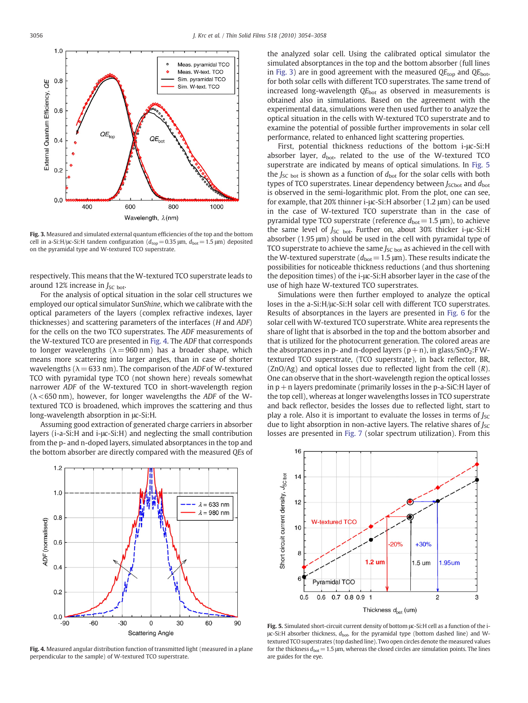<span id="page-2-0"></span>

Fig. 3. Measured and simulated external quantum efficiencies of the top and the bottom cell in a-Si:H/ $\mu$ c-Si:H tandem configuration ( $d_{\text{top}} = 0.35 \mu$ m,  $d_{\text{bot}} = 1.5 \mu$ m) deposited on the pyramidal type and W-textured TCO superstrate.

respectively. This means that the W-textured TCO superstrate leads to around 12% increase in  $J_{SC}$  bot.

For the analysis of optical situation in the solar cell structures we employed our optical simulator SunShine, which we calibrate with the optical parameters of the layers (complex refractive indexes, layer thicknesses) and scattering parameters of the interfaces (H and ADF) for the cells on the two TCO superstrates. The ADF measurements of the W-textured TCO are presented in Fig. 4. The ADF that corresponds to longer wavelengths ( $\lambda = 960$  nm) has a broader shape, which means more scattering into larger angles, than in case of shorter wavelengths ( $\lambda$  = 633 nm). The comparison of the ADF of W-textured TCO with pyramidal type TCO (not shown here) reveals somewhat narrower ADF of the W-textured TCO in short-wavelength region  $(\lambda \le 650 \text{ nm})$ , however, for longer wavelengths the ADF of the Wtextured TCO is broadened, which improves the scattering and thus long-wavelength absorption in μc-Si:H.

Assuming good extraction of generated charge carriers in absorber layers (i-a-Si:H and i-μc-Si:H) and neglecting the small contribution from the p- and n-doped layers, simulated absorptances in the top and the bottom absorber are directly compared with the measured QEs of



Fig. 4. Measured angular distribution function of transmitted light (measured in a plane perpendicular to the sample) of W-textured TCO superstrate.

the analyzed solar cell. Using the calibrated optical simulator the simulated absorptances in the top and the bottom absorber (full lines in Fig. 3) are in good agreement with the measured  $QE_{top}$  and  $QE_{bot}$ , for both solar cells with different TCO superstrates. The same trend of increased long-wavelength  $QE<sub>bot</sub>$  as observed in measurements is obtained also in simulations. Based on the agreement with the experimental data, simulations were then used further to analyze the optical situation in the cells with W-textured TCO superstrate and to examine the potential of possible further improvements in solar cell performance, related to enhanced light scattering properties.

First, potential thickness reductions of the bottom i-μc-Si:H absorber layer,  $d_{\text{bot}}$ , related to the use of the W-textured TCO superstrate are indicated by means of optical simulations. In Fig. 5 the  $J_{SC}$  bot is shown as a function of  $d_{bot}$  for the solar cells with both types of TCO superstrates. Linear dependency between  $J_{\text{SCbot}}$  and  $d_{\text{bot}}$ is observed in the semi-logarithmic plot. From the plot, one can see, for example, that 20% thinner i-μc-Si:H absorber (1.2 μm) can be used in the case of W-textured TCO superstrate than in the case of pyramidal type TCO superstrate (reference  $d_{bot} = 1.5 \mu m$ ), to achieve the same level of J<sub>SC bot</sub>. Further on, about 30% thicker i-μc-Si:H absorber (1.95 μm) should be used in the cell with pyramidal type of TCO superstrate to achieve the same  $J_{SC\,bot}$  as achieved in the cell with the W-textured superstrate ( $d_{bot}= 1.5 \,\text{\ensuremath{\mu}m}$ ). These results indicate the possibilities for noticeable thickness reductions (and thus shortening the deposition times) of the i-μc-Si:H absorber layer in the case of the use of high haze W-textured TCO superstrates.

Simulations were then further employed to analyze the optical loses in the a-Si:H/μc-Si:H solar cell with different TCO superstrates. Results of absorptances in the layers are presented in [Fig. 6](#page-3-0) for the solar cell with W-textured TCO superstrate. White area represents the share of light that is absorbed in the top and the bottom absorber and that is utilized for the photocurrent generation. The colored areas are the absorptances in p- and n-doped layers  $(p + n)$ , in glass/SnO<sub>2</sub>:F Wtextured TCO superstrate, (TCO superstrate), in back reflector, BR,  $(ZnO/Ag)$  and optical losses due to reflected light from the cell  $(R)$ . One can observe that in the short-wavelength region the optical losses in  $p + n$  layers predominate (primarily losses in the p-a-SiC:H layer of the top cell), whereas at longer wavelengths losses in TCO superstrate and back reflector, besides the losses due to reflected light, start to play a role. Also it is important to evaluate the losses in terms of  $J_{SC}$ due to light absorption in non-active layers. The relative shares of  $J_{SC}$ losses are presented in [Fig. 7](#page-3-0) (solar spectrum utilization). From this



Fig. 5. Simulated short-circuit current density of bottom μc-Si:H cell as a function of the iμc-Si:H absorber thickness,  $d_{\text{bot}}$ , for the pyramidal type (bottom dashed line) and Wtextured TCO superstrates (top dashed line). Two open circles denote the measured values for the thickness  $d_{bot}=1.5$  µm, whereas the closed circles are simulation points. The lines are guides for the eye.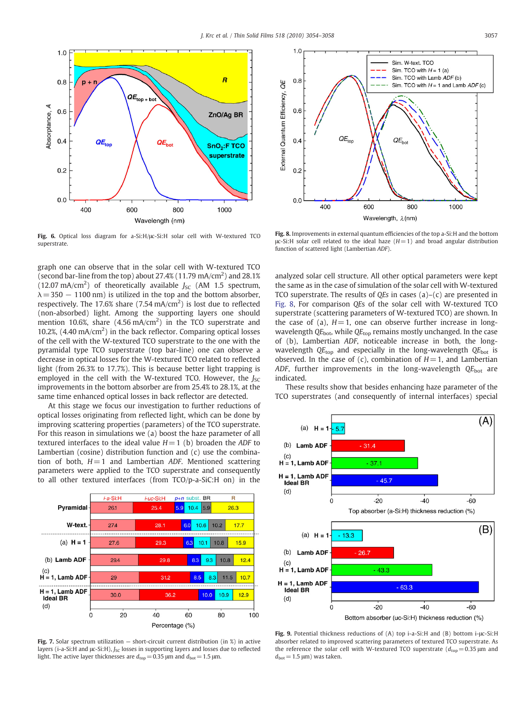<span id="page-3-0"></span>

Fig. 6. Optical loss diagram for a-Si:H/μc-Si:H solar cell with W-textured TCO superstrate.

graph one can observe that in the solar cell with W-textured TCO (second bar-line from the top) about  $27.4\%$  (11.79 mA/cm<sup>2</sup>) and  $28.1\%$ (12.07 mA/cm<sup>2</sup>) of theoretically available  $J_{SC}$  (AM 1.5 spectrum,  $\lambda = 350 - 1100$  nm) is utilized in the top and the bottom absorber, respectively. The 17.6% share  $(7.54 \text{ mA/cm}^2)$  is lost due to reflected (non-absorbed) light. Among the supporting layers one should mention 10.6%, share  $(4.56 \text{ mA/cm}^2)$  in the TCO superstrate and 10.2%,  $(4.40 \text{ mA/cm}^2)$  in the back reflector. Comparing optical losses of the cell with the W-textured TCO superstrate to the one with the pyramidal type TCO superstrate (top bar-line) one can observe a decrease in optical losses for the W-textured TCO related to reflected light (from 26.3% to 17.7%). This is because better light trapping is employed in the cell with the W-textured TCO. However, the  $J_{SC}$ improvements in the bottom absorber are from 25.4% to 28.1%, at the same time enhanced optical losses in back reflector are detected.

At this stage we focus our investigation to further reductions of optical losses originating from reflected light, which can be done by improving scattering properties (parameters) of the TCO superstrate. For this reason in simulations we (a) boost the haze parameter of all textured interfaces to the ideal value  $H=1$  (b) broaden the ADF to Lambertian (cosine) distribution function and (c) use the combination of both,  $H = 1$  and Lambertian ADF. Mentioned scattering parameters were applied to the TCO superstrate and consequently to all other textured interfaces (from TCO/p-a-SiC:H on) in the



Fig. 7. Solar spectrum utilization – short-circuit current distribution (in %) in active layers (i-a-Si:H and  $\mu$ c-Si:H),  $J_{SC}$  losses in supporting layers and losses due to reflected light. The active layer thicknesses are  $d_{\text{top}} = 0.35$  μm and  $d_{\text{bot}} = 1.5$  μm.



Fig. 8. Improvements in external quantum efficiencies of the top a-Si:H and the bottom  $μc-Si:H$  solar cell related to the ideal haze  $(H=1)$  and broad angular distribution function of scattered light (Lambertian ADF).

analyzed solar cell structure. All other optical parameters were kept the same as in the case of simulation of the solar cell with W-textured TCO superstrate. The results of QEs in cases  $(a)-(c)$  are presented in Fig. 8, For comparison QEs of the solar cell with W-textured TCO superstrate (scattering parameters of W-textured TCO) are shown. In the case of (a),  $H = 1$ , one can observe further increase in longwavelength  $QE_{bot}$ , while  $QE_{top}$  remains mostly unchanged. In the case of (b), Lambertian ADF, noticeable increase in both, the longwavelength  $QE_{top}$  and especially in the long-wavelength  $QE_{bot}$  is observed. In the case of (c), combination of  $H=1$ , and Lambertian ADF, further improvements in the long-wavelength  $QE_{bot}$  are indicated.

These results show that besides enhancing haze parameter of the TCO superstrates (and consequently of internal interfaces) special



Fig. 9. Potential thickness reductions of (A) top i-a-Si:H and (B) bottom i-μc-Si:H absorber related to improved scattering parameters of textured TCO superstrate. As the reference the solar cell with W-textured TCO superstrate ( $d_{\text{top}} = 0.35 \,\mu\text{m}$  and  $d_{\text{bot}} = 1.5 \text{ }\mu\text{m}$ ) was taken.